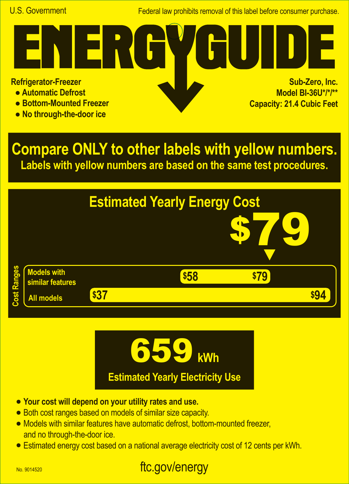Federal law prohibits removal of this label before consumer purchase.

**Refrigerator-Freezer**

- **Automatic Defrost**
- **Bottom-Mounted Freezer**
- **No through-the-door ice**

**Sub-Zero, Inc. Model BI-36U\*/\*/\*\* Capacity: 21.4 Cubic Feet**

**Compare ONLY to other labels with yellow numbers. Labels with yellow numbers are based on the same test procedures.**





- **• Your cost will depend on your utility rates and use.**
- **•** Both cost ranges based on models of similar size capacity.
- **•** Models with similar features have automatic defrost, bottom-mounted freezer, and no through-the-door ice.
- **•** Estimated energy cost based on a national average electricity cost of 12 cents per kWh.

## ftc.gov/energy